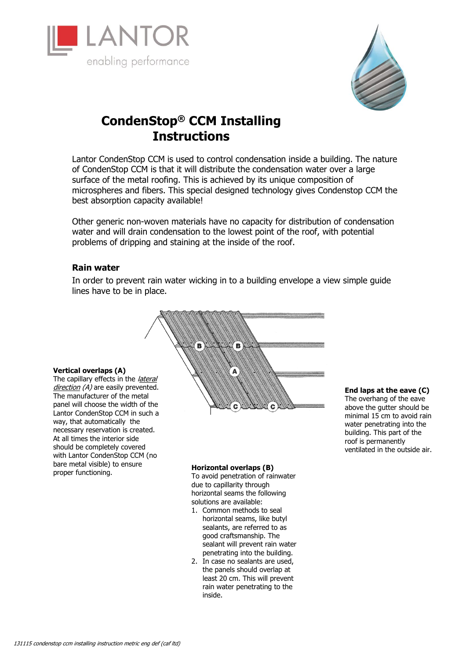



# **CondenStop® CCM Installing Instructions**

Lantor CondenStop CCM is used to control condensation inside a building. The nature of CondenStop CCM is that it will distribute the condensation water over a large surface of the metal roofing. This is achieved by its unique composition of microspheres and fibers. This special designed technology gives Condenstop CCM the best absorption capacity available!

Other generic non-woven materials have no capacity for distribution of condensation water and will drain condensation to the lowest point of the roof, with potential problems of dripping and staining at the inside of the roof.

## **Rain water**

In order to prevent rain water wicking in to a building envelope a view simple guide lines have to be in place.



### **Vertical overlaps (A)**

The capillary effects in the *lateral* direction (A) are easily prevented. The manufacturer of the metal panel will choose the width of the Lantor CondenStop CCM in such a way, that automatically the necessary reservation is created. At all times the interior side should be completely covered with Lantor CondenStop CCM (no bare metal visible) to ensure proper functioning. **Example 20 and Serverland Serverlaps (B)**<br> **Horizontal overlaps (B)**<br>
To avoid penetration of rail

To avoid penetration of rainwater due to capillarity through horizontal seams the following solutions are available:

- 1. Common methods to seal horizontal seams, like butyl sealants, are referred to as good craftsmanship. The sealant will prevent rain water penetrating into the building.
- 2. In case no sealants are used, the panels should overlap at least 20 cm. This will prevent rain water penetrating to the inside.

**End laps at the eave (C)**  The overhang of the eave above the gutter should be minimal 15 cm to avoid rain water penetrating into the building. This part of the roof is permanently ventilated in the outside air.